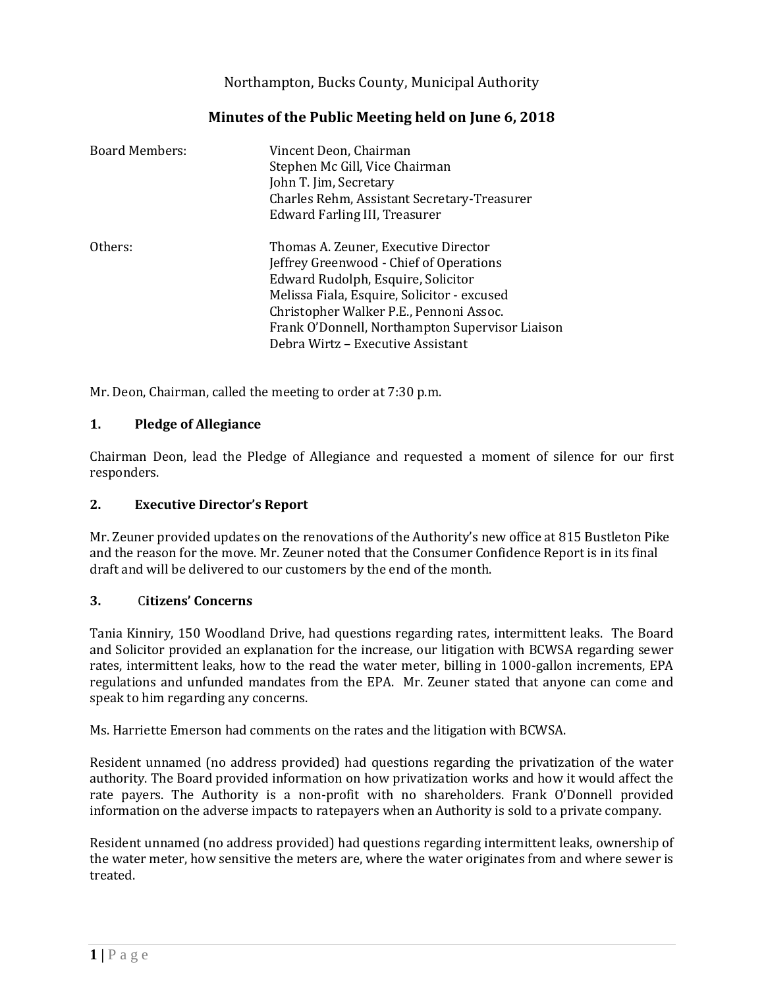Northampton, Bucks County, Municipal Authority

| <b>Board Members:</b> | Vincent Deon, Chairman<br>Stephen Mc Gill, Vice Chairman<br>John T. Jim, Secretary<br>Charles Rehm, Assistant Secretary-Treasurer<br>Edward Farling III, Treasurer                                                                                                 |
|-----------------------|--------------------------------------------------------------------------------------------------------------------------------------------------------------------------------------------------------------------------------------------------------------------|
| Others:               | Thomas A. Zeuner, Executive Director<br>Jeffrey Greenwood - Chief of Operations<br>Edward Rudolph, Esquire, Solicitor<br>Melissa Fiala, Esquire, Solicitor - excused<br>Christopher Walker P.E., Pennoni Assoc.<br>Frank O'Donnell, Northampton Supervisor Liaison |
|                       | Debra Wirtz - Executive Assistant                                                                                                                                                                                                                                  |

# **Minutes of the Public Meeting held on June 6, 2018**

Mr. Deon, Chairman, called the meeting to order at 7:30 p.m.

### **1. Pledge of Allegiance**

Chairman Deon, lead the Pledge of Allegiance and requested a moment of silence for our first responders.

### **2. Executive Director's Report**

Mr. Zeuner provided updates on the renovations of the Authority's new office at 815 Bustleton Pike and the reason for the move. Mr. Zeuner noted that the Consumer Confidence Report is in its final draft and will be delivered to our customers by the end of the month.

### **3.** C**itizens' Concerns**

Tania Kinniry, 150 Woodland Drive, had questions regarding rates, intermittent leaks. The Board and Solicitor provided an explanation for the increase, our litigation with BCWSA regarding sewer rates, intermittent leaks, how to the read the water meter, billing in 1000-gallon increments, EPA regulations and unfunded mandates from the EPA. Mr. Zeuner stated that anyone can come and speak to him regarding any concerns.

Ms. Harriette Emerson had comments on the rates and the litigation with BCWSA.

Resident unnamed (no address provided) had questions regarding the privatization of the water authority. The Board provided information on how privatization works and how it would affect the rate payers. The Authority is a non-profit with no shareholders. Frank O'Donnell provided information on the adverse impacts to ratepayers when an Authority is sold to a private company.

Resident unnamed (no address provided) had questions regarding intermittent leaks, ownership of the water meter, how sensitive the meters are, where the water originates from and where sewer is treated.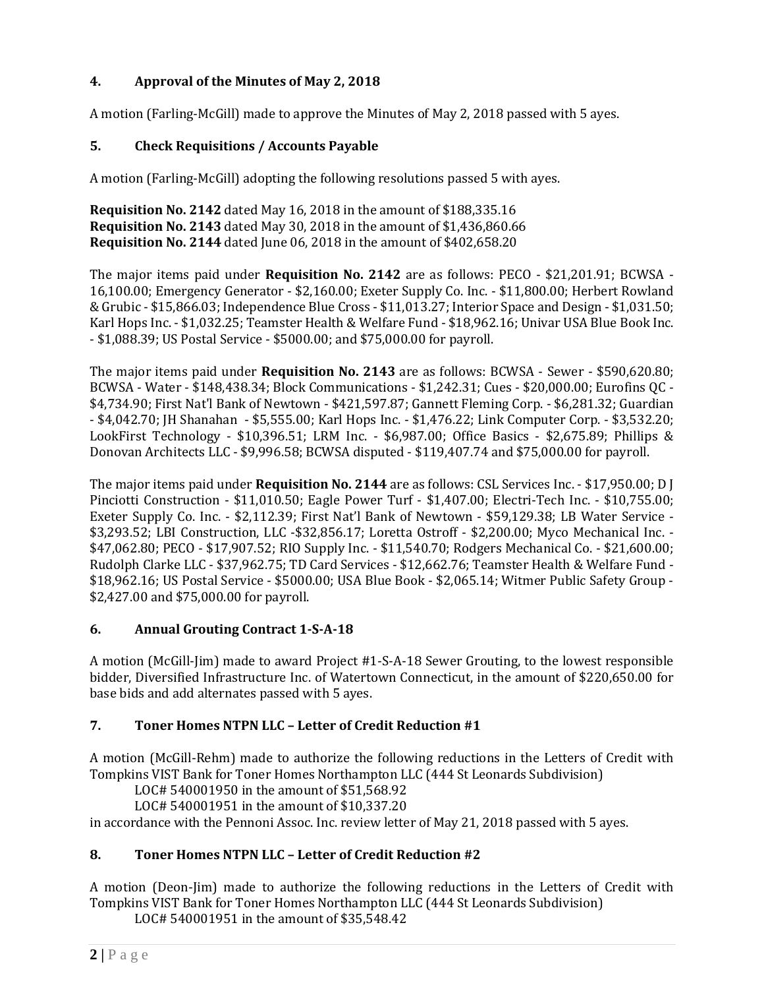# **4. Approval of the Minutes of May 2, 2018**

A motion (Farling-McGill) made to approve the Minutes of May 2, 2018 passed with 5 ayes.

### **5. Check Requisitions / Accounts Payable**

A motion (Farling-McGill) adopting the following resolutions passed 5 with ayes.

**Requisition No. 2142** dated May 16, 2018 in the amount of \$188,335.16 **Requisition No. 2143** dated May 30, 2018 in the amount of \$1,436,860.66 **Requisition No. 2144** dated June 06, 2018 in the amount of \$402,658.20

The major items paid under **Requisition No. 2142** are as follows: PECO - \$21,201.91; BCWSA - 16,100.00; Emergency Generator - \$2,160.00; Exeter Supply Co. Inc. - \$11,800.00; Herbert Rowland & Grubic - \$15,866.03; Independence Blue Cross - \$11,013.27; Interior Space and Design - \$1,031.50; Karl Hops Inc. - \$1,032.25; Teamster Health & Welfare Fund - \$18,962.16; Univar USA Blue Book Inc. - \$1,088.39; US Postal Service - \$5000.00; and \$75,000.00 for payroll.

The major items paid under **Requisition No. 2143** are as follows: BCWSA - Sewer - \$590,620.80; BCWSA - Water - \$148,438.34; Block Communications - \$1,242.31; Cues - \$20,000.00; Eurofins QC - \$4,734.90; First Nat'l Bank of Newtown - \$421,597.87; Gannett Fleming Corp. - \$6,281.32; Guardian - \$4,042.70; JH Shanahan - \$5,555.00; Karl Hops Inc. - \$1,476.22; Link Computer Corp. - \$3,532.20; LookFirst Technology - \$10,396.51; LRM Inc. - \$6,987.00; Office Basics - \$2,675.89; Phillips & Donovan Architects LLC - \$9,996.58; BCWSA disputed - \$119,407.74 and \$75,000.00 for payroll.

The major items paid under **Requisition No. 2144** are as follows: CSL Services Inc. - \$17,950.00; D J Pinciotti Construction - \$11,010.50; Eagle Power Turf - \$1,407.00; Electri-Tech Inc. - \$10,755.00; Exeter Supply Co. Inc. - \$2,112.39; First Nat'l Bank of Newtown - \$59,129.38; LB Water Service - \$3,293.52; LBI Construction, LLC -\$32,856.17; Loretta Ostroff - \$2,200.00; Myco Mechanical Inc. - \$47,062.80; PECO - \$17,907.52; RIO Supply Inc. - \$11,540.70; Rodgers Mechanical Co. - \$21,600.00; Rudolph Clarke LLC - \$37,962.75; TD Card Services - \$12,662.76; Teamster Health & Welfare Fund - \$18,962.16; US Postal Service - \$5000.00; USA Blue Book - \$2,065.14; Witmer Public Safety Group - \$2,427.00 and \$75,000.00 for payroll.

### **6. Annual Grouting Contract 1-S-A-18**

A motion (McGill-Jim) made to award Project #1-S-A-18 Sewer Grouting, to the lowest responsible bidder, Diversified Infrastructure Inc. of Watertown Connecticut, in the amount of \$220,650.00 for base bids and add alternates passed with 5 ayes.

## **7. Toner Homes NTPN LLC – Letter of Credit Reduction #1**

A motion (McGill-Rehm) made to authorize the following reductions in the Letters of Credit with Tompkins VIST Bank for Toner Homes Northampton LLC (444 St Leonards Subdivision)

LOC# 540001950 in the amount of \$51,568.92

LOC# 540001951 in the amount of \$10,337.20 in accordance with the Pennoni Assoc. Inc. review letter of May 21, 2018 passed with 5 ayes.

## **8. Toner Homes NTPN LLC – Letter of Credit Reduction #2**

A motion (Deon-Jim) made to authorize the following reductions in the Letters of Credit with Tompkins VIST Bank for Toner Homes Northampton LLC (444 St Leonards Subdivision)

LOC# 540001951 in the amount of \$35,548.42